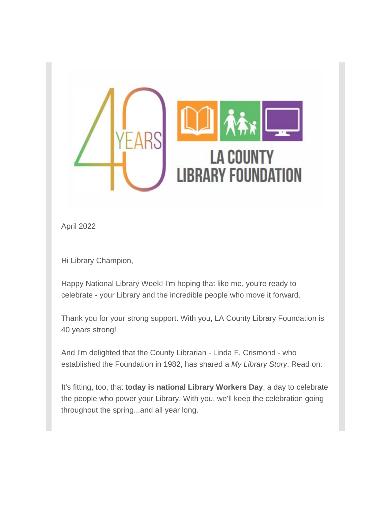

April 2022

Hi Library Champion,

Happy National Library Week! I'm hoping that like me, you're ready to celebrate - your Library and the incredible people who move it forward.

Thank you for your strong support. With you, LA County Library Foundation is 40 years strong!

And I'm delighted that the County Librarian - Linda F. Crismond - who established the Foundation in 1982, has shared a *My Library Story*. Read on.

It's fitting, too, that **today is national Library Workers Day**, a day to celebrate the people who power your Library. With you, we'll keep the celebration going throughout the spring...and all year long.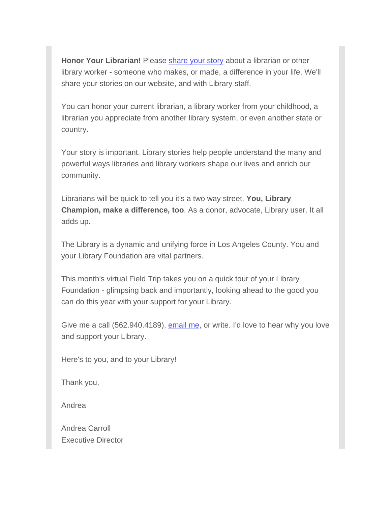**Honor Your Librarian!** Please [share your story](https://u10167832.ct.sendgrid.net/ls/click?upn=QRIzs1JeZxD09Q8uNfKoYgtlnfwn0W5dDWwuF8fVaEEKdCM4d6WglJQ5y36lcTJui9mI4u9u-2FcpYAX48SZHJOTXPs-2Fs78ULlT8y9-2FrM5YUs-3DA3K2_OgeRVzrjAtbqJQqQEEVSo4Gp-2BNysYne6jOgSn1MatcRoV35XlA39-2B63CTN6JV7GBQVxJ2ZsHx2Ry0abDB-2BgdansmUiRN4vVU3oRECQsi1edZ2U379R6OLH22x7oZyFQ0ZvdoTFyV-2FGXKfKLpfs5YH-2BMiIin1aYd-2F-2FH1lqjSHpy-2Fa-2B44AAy8bFUl8b7-2BItuHXd75BxnJIf8XQe-2BDtLs4iUPH-2FLHoWzettrDsLwd-2Fr6WoQcm9PbutL640wR8w0Gj2rNo9-2FNvdodtVp6Yv4u7fCndSkVxUxH4jIgpckn6SGElAid4-2FZ-2FGywTyYDnGT9CMldMWT1MtPOZ7NRPH3eUyRVUCWPcxJNLweX1Ff7JE-2Bj8BSfnhBrLB9Wbo-2FpDzvZMEOc5fAl5CVlSfvO1vyVBC6Jn3hiII-2FrRb-2FtwMLyfI8Da2w-3D) about a librarian or other library worker - someone who makes, or made, a difference in your life. We'll share your stories on our website, and with Library staff.

You can honor your current librarian, a library worker from your childhood, a librarian you appreciate from another library system, or even another state or country.

Your story is important. Library stories help people understand the many and powerful ways libraries and library workers shape our lives and enrich our community.

Librarians will be quick to tell you it's a two way street. **You, Library Champion, make a difference, too**. As a donor, advocate, Library user. It all adds up.

The Library is a dynamic and unifying force in Los Angeles County. You and your Library Foundation are vital partners.

This month's virtual Field Trip takes you on a quick tour of your Library Foundation - glimpsing back and importantly, looking ahead to the good you can do this year with your support for your Library.

Give me a call (562.940.4189), [email me,](mailto:acarroll@lacolibraryfoundation.org) or write. I'd love to hear why you love and support your Library.

Here's to you, and to your Library!

Thank you,

Andrea

Andrea Carroll Executive Director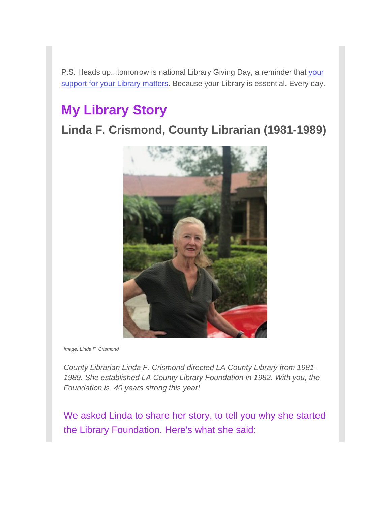P.S. Heads up...tomorrow is national Library Giving Day, a reminder that your [support for your Library matters.](https://u10167832.ct.sendgrid.net/ls/click?upn=QRIzs1JeZxD09Q8uNfKoYgtlnfwn0W5dDWwuF8fVaEEDd7Vt-2FBmJfeZ-2Fwb2852ZN2vj27v2gvB9sjJUyzAdNQUPBFNx4pzmnDtRxUWKCr-2BA-3D9n0w_OgeRVzrjAtbqJQqQEEVSo4Gp-2BNysYne6jOgSn1MatcRoV35XlA39-2B63CTN6JV7GBQVxJ2ZsHx2Ry0abDB-2BgdansmUiRN4vVU3oRECQsi1edZ2U379R6OLH22x7oZyFQ0ZvdoTFyV-2FGXKfKLpfs5YH-2BMiIin1aYd-2F-2FH1lqjSHpy-2Fa-2B44AAy8bFUl8b7-2BItuHXd75BxnJIf8XQe-2BDtLs4iUPH-2FLHoWzettrDsLwd-2Fr6WoQcm9PbutL640wR8w0Gj2rNo9-2FNvdodtVp6Yv4u7fCnaX0DKobgsU3zNC4crJZ0scHUMsHSu0xDaEJAEUSe92J00YJ8QFytFFMLANMm4Hz7V-2FP6qXBTt2piiAXDBMOqdbSuMXAc7wfndEzTzy03-2FuZlgD0HZDkuWciXF5L1xEoW1Y9qRDIYBB3RJiw6KwCn6M-3D) Because your Library is essential. Every day.

# **My Library Story**

## **Linda F. Crismond, County Librarian (1981-1989)**



*Image: Linda F. Crismond*

*County Librarian Linda F. Crismond directed LA County Library from 1981- 1989. She established LA County Library Foundation in 1982. With you, the Foundation is 40 years strong this year!*

We asked Linda to share her story, to tell you why she started the Library Foundation. Here's what she said: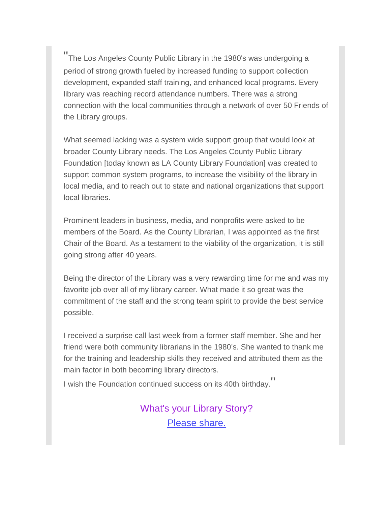" The Los Angeles County Public Library in the 1980's was undergoing a period of strong growth fueled by increased funding to support collection development, expanded staff training, and enhanced local programs. Every library was reaching record attendance numbers. There was a strong connection with the local communities through a network of over 50 Friends of the Library groups.

What seemed lacking was a system wide support group that would look at broader County Library needs. The Los Angeles County Public Library Foundation [today known as LA County Library Foundation] was created to support common system programs, to increase the visibility of the library in local media, and to reach out to state and national organizations that support local libraries.

Prominent leaders in business, media, and nonprofits were asked to be members of the Board. As the County Librarian, I was appointed as the first Chair of the Board. As a testament to the viability of the organization, it is still going strong after 40 years.

Being the director of the Library was a very rewarding time for me and was my favorite job over all of my library career. What made it so great was the commitment of the staff and the strong team spirit to provide the best service possible.

I received a surprise call last week from a former staff member. She and her friend were both community librarians in the 1980's. She wanted to thank me for the training and leadership skills they received and attributed them as the main factor in both becoming library directors.

I wish the Foundation continued success on its 40th birthday. "

What's your Library Story? [Please share.](mailto:acarroll@lacolibraryfoundation.org)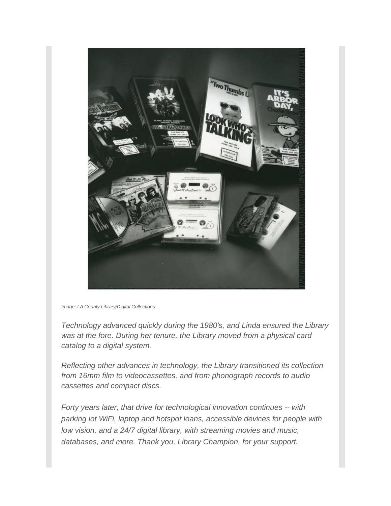

*Image: LA County Library/Digital Collections*

*Technology advanced quickly during the 1980's, and Linda ensured the Library was at the fore. During her tenure, the Library moved from a physical card catalog to a digital system.*

*Reflecting other advances in technology, the Library transitioned its collection from 16mm film to videocassettes, and from phonograph records to audio cassettes and compact discs.* 

*Forty years later, that drive for technological innovation continues -- with parking lot WiFi, laptop and hotspot loans, accessible devices for people with low vision, and a 24/7 digital library, with streaming movies and music, databases, and more. Thank you, Library Champion, for your support.*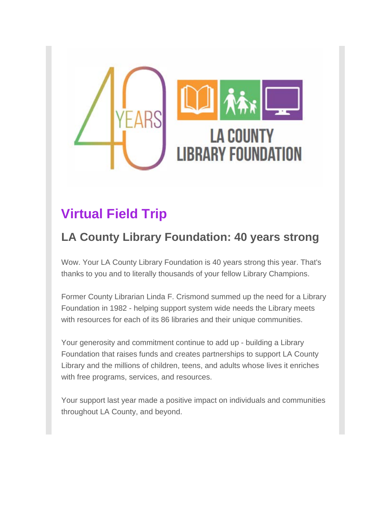

# **Virtual Field Trip**

## **LA County Library Foundation: 40 years strong**

Wow. Your LA County Library Foundation is 40 years strong this year. That's thanks to you and to literally thousands of your fellow Library Champions.

Former County Librarian Linda F. Crismond summed up the need for a Library Foundation in 1982 - helping support system wide needs the Library meets with resources for each of its 86 libraries and their unique communities.

Your generosity and commitment continue to add up - building a Library Foundation that raises funds and creates partnerships to support LA County Library and the millions of children, teens, and adults whose lives it enriches with free programs, services, and resources.

Your support last year made a positive impact on individuals and communities throughout LA County, and beyond.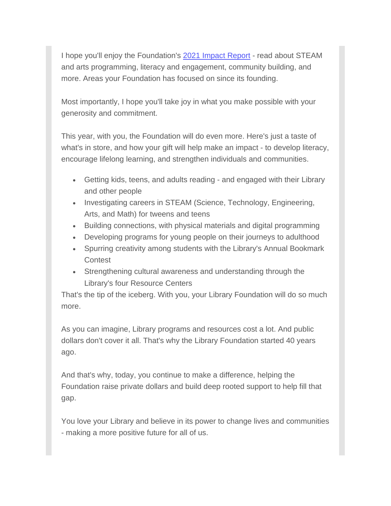I hope you'll enjoy the Foundation's [2021 Impact Report](https://u10167832.ct.sendgrid.net/ls/click?upn=QRIzs1JeZxD09Q8uNfKoYgtlnfwn0W5dDWwuF8fVaEGLIX7ZyVVqIOXyx-2FkgNDpFwkCpQ-2FpeBVSAqeJMLNuwcvctoma6Xhlxdm895a7SR4g-3DmoCy_OgeRVzrjAtbqJQqQEEVSo4Gp-2BNysYne6jOgSn1MatcRoV35XlA39-2B63CTN6JV7GBQVxJ2ZsHx2Ry0abDB-2BgdansmUiRN4vVU3oRECQsi1edZ2U379R6OLH22x7oZyFQ0ZvdoTFyV-2FGXKfKLpfs5YH-2BMiIin1aYd-2F-2FH1lqjSHpy-2Fa-2B44AAy8bFUl8b7-2BItuHXd75BxnJIf8XQe-2BDtLs4iUPH-2FLHoWzettrDsLwd-2Fr6WoQcm9PbutL640wR8w0Gj2rNo9-2FNvdodtVp6Yv4u7fCnU2n3m8fG0PX6iEoHt8IAAXznTrs21eV3lqxXOsUHH2qkAHGZICghGQJ1q5NTEm7t0TxPYSKa-2FmC3gmS3Tnc8Dsx41jy2cnooNxVAG-2B65ksl-2FnZLPYgIWRiFfvbxsUyIKFBHPtHrzNzLYEL1fB9GWg8-3D) - read about STEAM and arts programming, literacy and engagement, community building, and more. Areas your Foundation has focused on since its founding.

Most importantly, I hope you'll take joy in what you make possible with your generosity and commitment.

This year, with you, the Foundation will do even more. Here's just a taste of what's in store, and how your gift will help make an impact - to develop literacy, encourage lifelong learning, and strengthen individuals and communities.

- Getting kids, teens, and adults reading and engaged with their Library and other people
- Investigating careers in STEAM (Science, Technology, Engineering, Arts, and Math) for tweens and teens
- Building connections, with physical materials and digital programming
- Developing programs for young people on their journeys to adulthood
- Spurring creativity among students with the Library's Annual Bookmark **Contest**
- Strengthening cultural awareness and understanding through the Library's four Resource Centers

That's the tip of the iceberg. With you, your Library Foundation will do so much more.

As you can imagine, Library programs and resources cost a lot. And public dollars don't cover it all. That's why the Library Foundation started 40 years ago.

And that's why, today, you continue to make a difference, helping the Foundation raise private dollars and build deep rooted support to help fill that gap.

You love your Library and believe in its power to change lives and communities - making a more positive future for all of us.